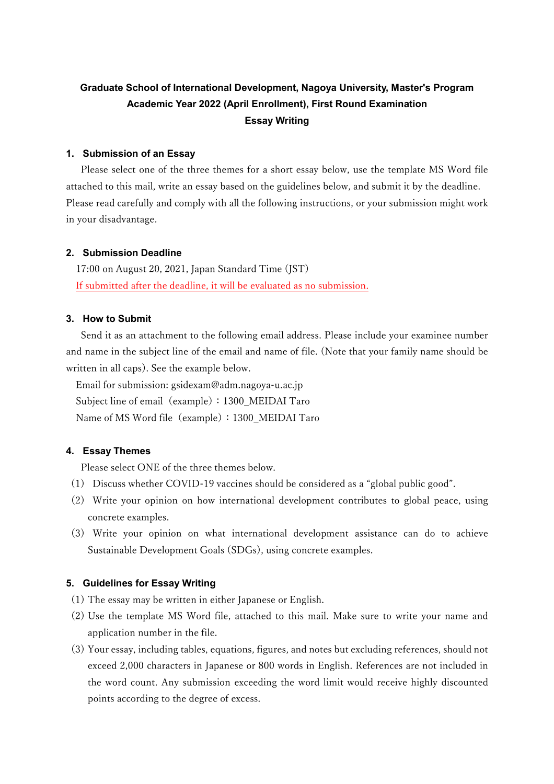# **Graduate School of International Development, Nagoya University, Master's Program Academic Year 2022 (April Enrollment), First Round Examination Essay Writing**

## **1. Submission of an Essay**

 Please select one of the three themes for a short essay below, use the template MS Word file attached to this mail, write an essay based on the guidelines below, and submit it by the deadline. Please read carefully and comply with all the following instructions, or your submission might work in your disadvantage.

## **2. Submission Deadline**

17:00 on August 20, 2021, Japan Standard Time (JST) If submitted after the deadline, it will be evaluated as no submission.

## **3. How to Submit**

 Send it as an attachment to the following email address. Please include your examinee number and name in the subject line of the email and name of file. (Note that your family name should be written in all caps). See the example below.

Email for submission: gsidexam@adm.nagoya-u.ac.jp Subject line of email (example): 1300\_MEIDAI Taro Name of MS Word file (example): 1300\_MEIDAI Taro

## **4. Essay Themes**

Please select ONE of the three themes below.

- (1) Discuss whether COVID-19 vaccines should be considered as a "global public good".
- (2) Write your opinion on how international development contributes to global peace, using concrete examples.
- (3) Write your opinion on what international development assistance can do to achieve Sustainable Development Goals (SDGs), using concrete examples.

## **5. Guidelines for Essay Writing**

- (1) The essay may be written in either Japanese or English.
- (2) Use the template MS Word file, attached to this mail. Make sure to write your name and application number in the file.
- (3) Your essay, including tables, equations, figures, and notes but excluding references, should not exceed 2,000 characters in Japanese or 800 words in English. References are not included in the word count. Any submission exceeding the word limit would receive highly discounted points according to the degree of excess.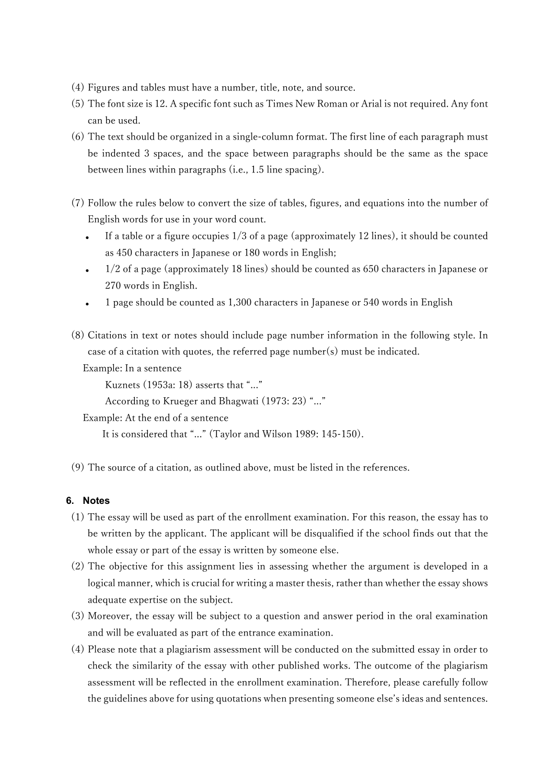- (4) Figures and tables must have a number, title, note, and source.
- (5) The font size is 12. A specific font such as Times New Roman or Arial is not required. Any font can be used.
- (6) The text should be organized in a single-column format. The first line of each paragraph must be indented 3 spaces, and the space between paragraphs should be the same as the space between lines within paragraphs (i.e., 1.5 line spacing).
- (7) Follow the rules below to convert the size of tables, figures, and equations into the number of English words for use in your word count.
	- If a table or a figure occupies 1/3 of a page (approximately 12 lines), it should be counted as 450 characters in Japanese or 180 words in English;
	- 1/2 of a page (approximately 18 lines) should be counted as 650 characters in Japanese or 270 words in English.
	- 1 page should be counted as 1,300 characters in Japanese or 540 words in English
- (8) Citations in text or notes should include page number information in the following style. In case of a citation with quotes, the referred page number(s) must be indicated.

Example: In a sentence

Kuznets (1953a: 18) asserts that "..."

According to Krueger and Bhagwati (1973: 23) "..."

Example: At the end of a sentence

It is considered that "..." (Taylor and Wilson 1989: 145-150).

(9) The source of a citation, as outlined above, must be listed in the references.

## **6. Notes**

- (1) The essay will be used as part of the enrollment examination. For this reason, the essay has to be written by the applicant. The applicant will be disqualified if the school finds out that the whole essay or part of the essay is written by someone else.
- (2) The objective for this assignment lies in assessing whether the argument is developed in a logical manner, which is crucial for writing a master thesis, rather than whether the essay shows adequate expertise on the subject.
- (3) Moreover, the essay will be subject to a question and answer period in the oral examination and will be evaluated as part of the entrance examination.
- (4) Please note that a plagiarism assessment will be conducted on the submitted essay in order to check the similarity of the essay with other published works. The outcome of the plagiarism assessment will be reflected in the enrollment examination. Therefore, please carefully follow the guidelines above for using quotations when presenting someone else's ideas and sentences.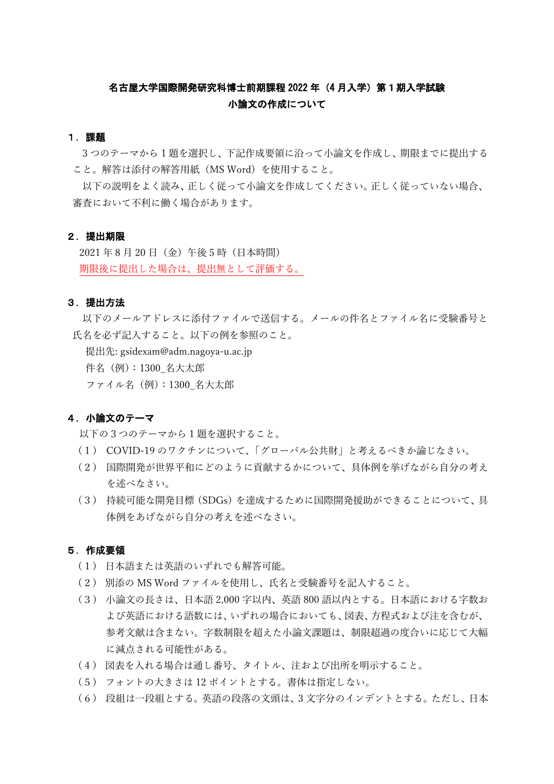## 名古屋大学国際開発研究科博士前期課程 2022 年 (4 月入学) 第 1 期入学試験 小論文の作成について

### 1.課題

3 つのテーマから 1 題を選択し、下記作成要領に沿って小論文を作成し、期限までに提出する こと。解答は添付の解答用紙(MS Word)を使用すること。

以下の説明をよく読み、正しく従って小論文を作成してください。正しく従っていない場合、 審査において不利に働く場合があります。

### 2.提出期限

2021 年 8 月 20 日(金)午後 5 時(日本時間) 期限後に提出した場合は、提出無として評価する。

## 3.提出方法

以下のメールアドレスに添付ファイルで送信する。メールの件名とファイル名に受験番号と 氏名を必ず記入すること。以下の例を参照のこと。

提出先: gsidexam@adm.nagoya-u.ac.jp

件名(例):1300\_名大太郎

ファイル名(例):1300\_名大太郎

### 4.小論文のテーマ

以下の3つのテーマから 1 題を選択すること。

- (1) COVID-19 のワクチンについて、「グローバル公共財」と考えるべきか論じなさい。
- (2) 国際開発が世界平和にどのように貢献するかについて、具体例を挙げながら自分の考え を述べなさい。
- (3) 持続可能な開発目標(SDGs)を達成するために国際開発援助ができることについて、具 体例をあげながら自分の考えを述べなさい。

#### 5.作成要領

- (1) 日本語または英語のいずれでも解答可能。
- (2) 別添の MS Word ファイルを使用し、氏名と受験番号を記入すること。
- (3) 小論文の長さは、日本語 2,000 字以内、英語 800 語以内とする。日本語における字数お よび英語における語数には、いずれの場合においても、図表、方程式および注を含むが、 参考文献は含まない。字数制限を超えた小論文課題は、制限超過の度合いに応じて大幅 に減点される可能性がある。
- (4) 図表を入れる場合は通し番号、タイトル、注および出所を明示すること。
- (5) フォントの大きさは 12 ポイントとする。書体は指定しない。
- (6) 段組は一段組とする。英語の段落の文頭は、3 文字分のインデントとする。ただし、日本